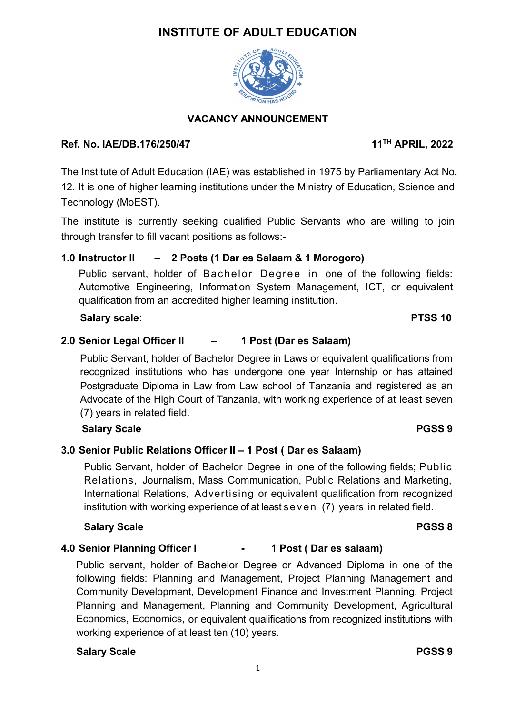# **INSTITUTE OF ADULT EDUCATION**



# **VACANCY ANNOUNCEMENT**

#### **Ref. No. IAE/DB.176/250/47 11**

The Institute of Adult Education (IAE) was established in 1975 by Parliamentary Act No. 12. It is one of higher learning institutions under the Ministry of Education, Science and Technology (MoEST).

The institute is currently seeking qualified Public Servants who are willing to join through transfer to fill vacant positions as follows:-

# **1.0 Instructor II – 2 Posts (1 Dar es Salaam & 1 Morogoro)**

Public servant, holder of Bachelor Degree in one of the following fields: Automotive Engineering, Information System Management, ICT, or equivalent qualification from an accredited higher learning institution.

#### **Salary scale: PTSS 10**

# **2.0 Senior Legal Officer II – 1 Post (Dar es Salaam)**

Public Servant, holder of Bachelor Degree in Laws or equivalent qualifications from recognized institutions who has undergone one year Internship or has attained Postgraduate Diploma in Law from Law school of Tanzania and registered as an Advocate of the High Court of Tanzania, with working experience of at least seven (7) years in related field.

# **Salary Scale PGSS 9**

#### **3.0 Senior Public Relations Officer II – 1 Post ( Dar es Salaam)**

Public Servant, holder of Bachelor Degree in one of the following fields; Public Relations, Journalism, Mass Communication, Public Relations and Marketing, International Relations, Advertising or equivalent qualification from recognized institution with working experience of at least  $s$  even  $(7)$  years in related field.

#### **Salary Scale PGSS 8**

#### **4.0 Senior Planning Officer I - 1 Post ( Dar es salaam)**

Public servant, holder of Bachelor Degree or Advanced Diploma in one of the following fields: Planning and Management, Project Planning Management and Community Development, Development Finance and Investment Planning, Project Planning and Management, Planning and Community Development, Agricultural Economics, Economics, or equivalent qualifications from recognized institutions with working experience of at least ten (10) years.

#### **Salary Scale PGSS 9**

**TH APRIL, 2022**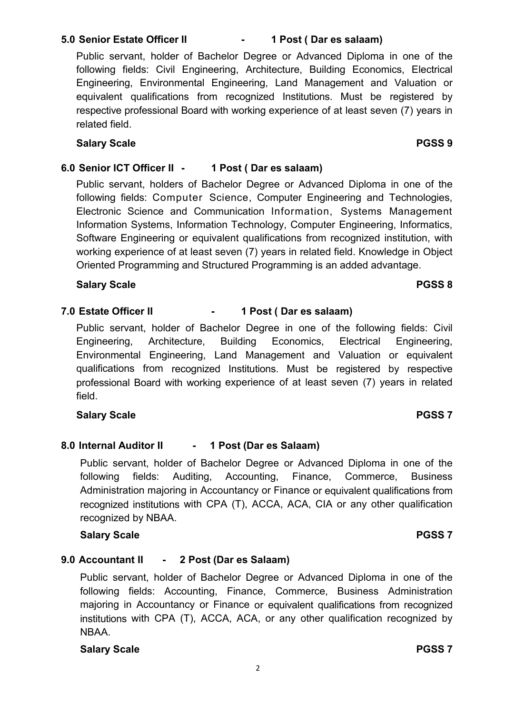# **5.0 Senior Estate Officer II - 1 Post ( Dar es salaam)**

Public servant, holder of Bachelor Degree or Advanced Diploma in one of the following fields: Civil Engineering, Architecture, Building Economics, Electrical Engineering, Environmental Engineering, Land Management and Valuation or equivalent qualifications from recognized Institutions. Must be registered by respective professional Board with working experience of at least seven (7) years in related field.

#### **Salary Scale PGSS 9**

### **6.0 Senior ICT Officer II - 1 Post ( Dar es salaam)**

Public servant, holders of Bachelor Degree or Advanced Diploma in one of the following fields: Computer Science, Computer Engineering and Technologies, Electronic Science and Communication Information, Systems Management Information Systems, Information Technology, Computer Engineering, Informatics, Software Engineering or equivalent qualifications from recognized institution, with working experience of at least seven (7) years in related field. Knowledge in Object Oriented Programming and Structured Programming is an added advantage.

#### **Salary Scale PGSS 8**

# **7.0 Estate Officer II - 1 Post ( Dar es salaam)**

Public servant, holder of Bachelor Degree in one of the following fields: Civil Engineering, Architecture, Building Economics, Electrical Engineering, Environmental Engineering, Land Management and Valuation or equivalent qualifications from recognized Institutions. Must be registered by respective professional Board with working experience of at least seven (7) years in related field.

#### **Salary Scale PGSS 7**

#### **8.0 Internal Auditor II - 1 Post (Dar es Salaam)**

Public servant, holder of Bachelor Degree or Advanced Diploma in one of the following fields: Auditing, Accounting, Finance, Commerce, Business Administration majoring in Accountancy or Finance or equivalent qualifications from recognized institutions with CPA (T), ACCA, ACA, CIA or any other qualification recognized by NBAA.

#### **Salary Scale PGSS 7**

#### **9.0 Accountant II - 2 Post (Dar es Salaam)**

Public servant, holder of Bachelor Degree or Advanced Diploma in one of the following fields: Accounting, Finance, Commerce, Business Administration majoring in Accountancy or Finance or equivalent qualifications from recognized institutions with CPA (T), ACCA, ACA, or any other qualification recognized by NBAA.

# **Salary Scale PGSS 7**

#### 2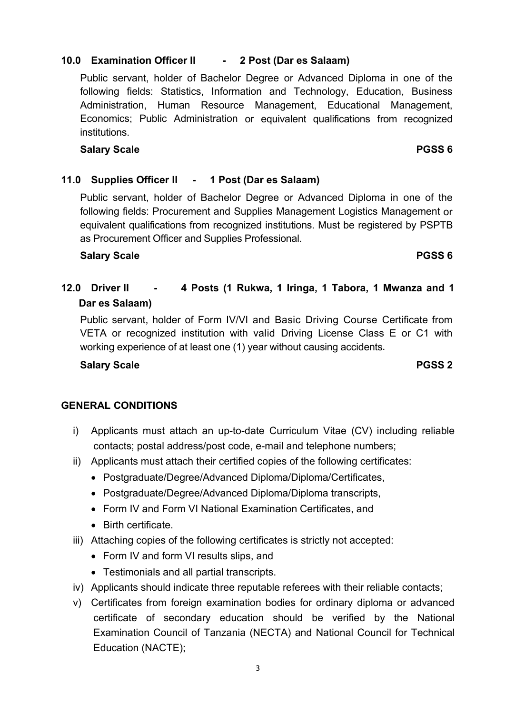# **10.0 Examination Officer II - 2 Post (Dar es Salaam)**

Public servant, holder of Bachelor Degree or Advanced Diploma in one of the following fields: Statistics, Information and Technology, Education, Business Administration, Human Resource Management, Educational Management, Economics; Public Administration or equivalent qualifications from recognized institutions.

# **Salary Scale PGSS 6**

#### **11.0 Supplies Officer II - 1 Post (Dar es Salaam)**

Public servant, holder of Bachelor Degree or Advanced Diploma in one of the following fields: Procurement and Supplies Management Logistics Management or equivalent qualifications from recognized institutions. Must be registered by PSPTB as Procurement Officer and Supplies Professional.

#### **Salary Scale PGSS 6**

# **12.0 Driver II - 4 Posts (1 Rukwa, 1 Iringa, 1 Tabora, 1 Mwanza and 1 Dar es Salaam)**

Public servant, holder of Form IV/VI and Basic Driving Course Certificate from VETA or recognized institution with valid Driving License Class E or C1 with working experience of at least one (1) year without causing accidents.

#### **Salary Scale PGSS 2**

#### **GENERAL CONDITIONS**

- i) Applicants must attach an up-to-date Curriculum Vitae (CV) including reliable contacts; postal address/post code, e-mail and telephone numbers;
- ii) Applicants must attach their certified copies of the following certificates:
	- Postgraduate/Degree/Advanced Diploma/Diploma/Certificates,
	- Postgraduate/Degree/Advanced Diploma/Diploma transcripts,
	- Form IV and Form VI National Examination Certificates, and
	- Birth certificate.
- iii) Attaching copies of the following certificates is strictly not accepted:
	- Form IV and form VI results slips, and
	- Testimonials and all partial transcripts.
- iv) Applicants should indicate three reputable referees with their reliable contacts;
- v) Certificates from foreign examination bodies for ordinary diploma or advanced certificate of secondary education should be verified by the National Examination Council of Tanzania (NECTA) and National Council for Technical Education (NACTE);